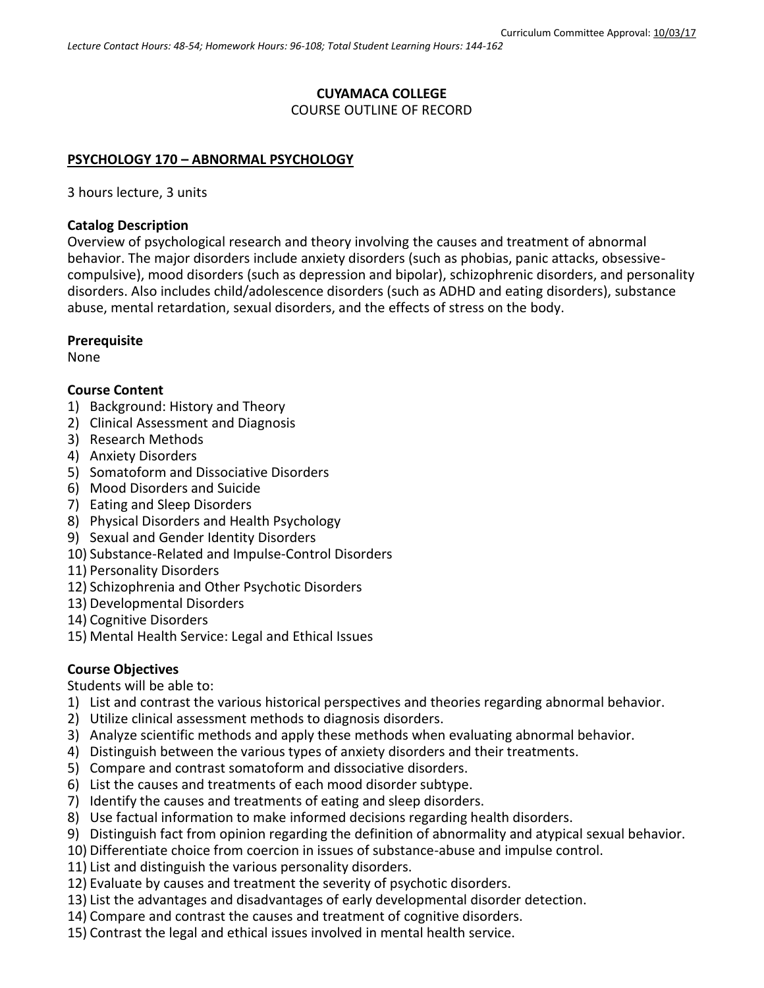# **CUYAMACA COLLEGE**

# COURSE OUTLINE OF RECORD

## **PSYCHOLOGY 170 – ABNORMAL PSYCHOLOGY**

3 hours lecture, 3 units

#### **Catalog Description**

Overview of psychological research and theory involving the causes and treatment of abnormal behavior. The major disorders include anxiety disorders (such as phobias, panic attacks, obsessivecompulsive), mood disorders (such as depression and bipolar), schizophrenic disorders, and personality disorders. Also includes child/adolescence disorders (such as ADHD and eating disorders), substance abuse, mental retardation, sexual disorders, and the effects of stress on the body.

## **Prerequisite**

None

## **Course Content**

- 1) Background: History and Theory
- 2) Clinical Assessment and Diagnosis
- 3) Research Methods
- 4) Anxiety Disorders
- 5) Somatoform and Dissociative Disorders
- 6) Mood Disorders and Suicide
- 7) Eating and Sleep Disorders
- 8) Physical Disorders and Health Psychology
- 9) Sexual and Gender Identity Disorders
- 10) Substance-Related and Impulse-Control Disorders
- 11) Personality Disorders
- 12) Schizophrenia and Other Psychotic Disorders
- 13) Developmental Disorders
- 14) Cognitive Disorders
- 15) Mental Health Service: Legal and Ethical Issues

# **Course Objectives**

Students will be able to:

- 1) List and contrast the various historical perspectives and theories regarding abnormal behavior.
- 2) Utilize clinical assessment methods to diagnosis disorders.
- 3) Analyze scientific methods and apply these methods when evaluating abnormal behavior.
- 4) Distinguish between the various types of anxiety disorders and their treatments.
- 5) Compare and contrast somatoform and dissociative disorders.
- 6) List the causes and treatments of each mood disorder subtype.
- 7) Identify the causes and treatments of eating and sleep disorders.
- 8) Use factual information to make informed decisions regarding health disorders.
- 9) Distinguish fact from opinion regarding the definition of abnormality and atypical sexual behavior.
- 10) Differentiate choice from coercion in issues of substance-abuse and impulse control.
- 11) List and distinguish the various personality disorders.
- 12) Evaluate by causes and treatment the severity of psychotic disorders.
- 13) List the advantages and disadvantages of early developmental disorder detection.
- 14) Compare and contrast the causes and treatment of cognitive disorders.
- 15) Contrast the legal and ethical issues involved in mental health service.